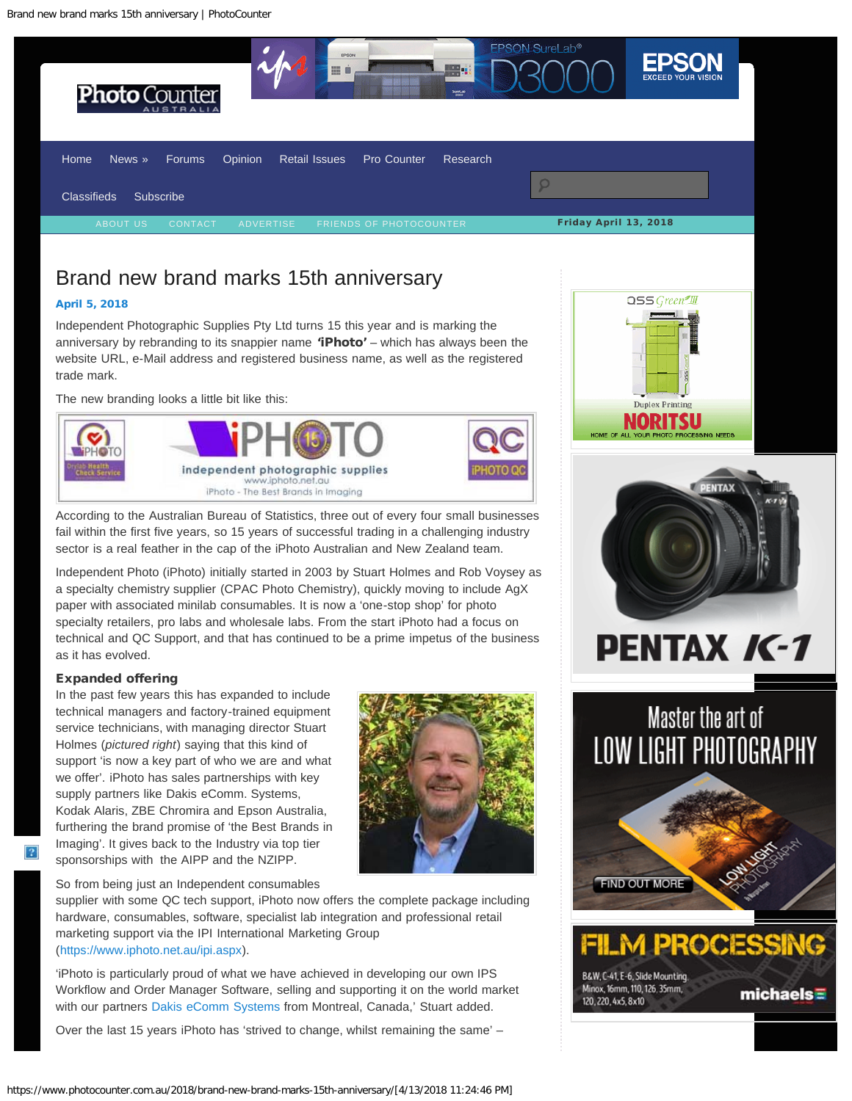<span id="page-0-0"></span>

**EPSON SureLab<sup>®</sup>** 

# Brand new brand marks 15th anniversary

### [April 5, 2018](#page-0-0)

Independent Photographic Supplies Pty Ltd turns 15 this year and is marking the anniversary by rebranding to its snappier name 'iPhoto' – which has always been the website URL, e-Mail address and registered business name, as well as the registered trade mark.

The new branding looks a little bit like this:



According to the Australian Bureau of Statistics, three out of every four small businesses fail within the first five years, so 15 years of successful trading in a challenging industry sector is a real feather in the cap of the iPhoto Australian and New Zealand team.

Independent Photo (iPhoto) initially started in 2003 by Stuart Holmes and Rob Voysey as a specialty chemistry supplier (CPAC Photo Chemistry), quickly moving to include AgX paper with associated minilab consumables. It is now a 'one-stop shop' for photo specialty retailers, pro labs and wholesale labs. From the start iPhoto had a focus on technical and QC Support, and that has continued to be a prime impetus of the business as it has evolved.

## Expanded offering

In the past few years this has expanded to include technical managers and factory-trained equipment service technicians, with managing director Stuart Holmes (*pictured right*) saying that this kind of support 'is now a key part of who we are and what we offer'. iPhoto has sales partnerships with key supply partners like Dakis eComm. Systems, Kodak Alaris, ZBE Chromira and Epson Australia, furthering the brand promise of 'the Best Brands in Imaging'. It gives back to the Industry via top tier sponsorships with the AIPP and the NZIPP.

So from being just an Independent consumables

supplier with some QC tech support, iPhoto now offers the complete package including hardware, consumables, software, specialist lab integration and professional retail marketing support via the IPI International Marketing Group (<https://www.iphoto.net.au/ipi.aspx>).

'iPhoto is particularly proud of what we have achieved in developing our own IPS Workflow and Order Manager Software, selling and supporting it on the world market with our partners [Dakis eComm Systems](https://www.iphoto.net.au/dakis.aspx) from Montreal, Canada,' Stuart added.

Over the last 15 years iPhoto has 'strived to change, whilst remaining the same' –







B&W, C-41, E-6, Slide Mounting, Minox, 16mm, 110, 126, 35mm, 120, 220, 4x5, 8x10

m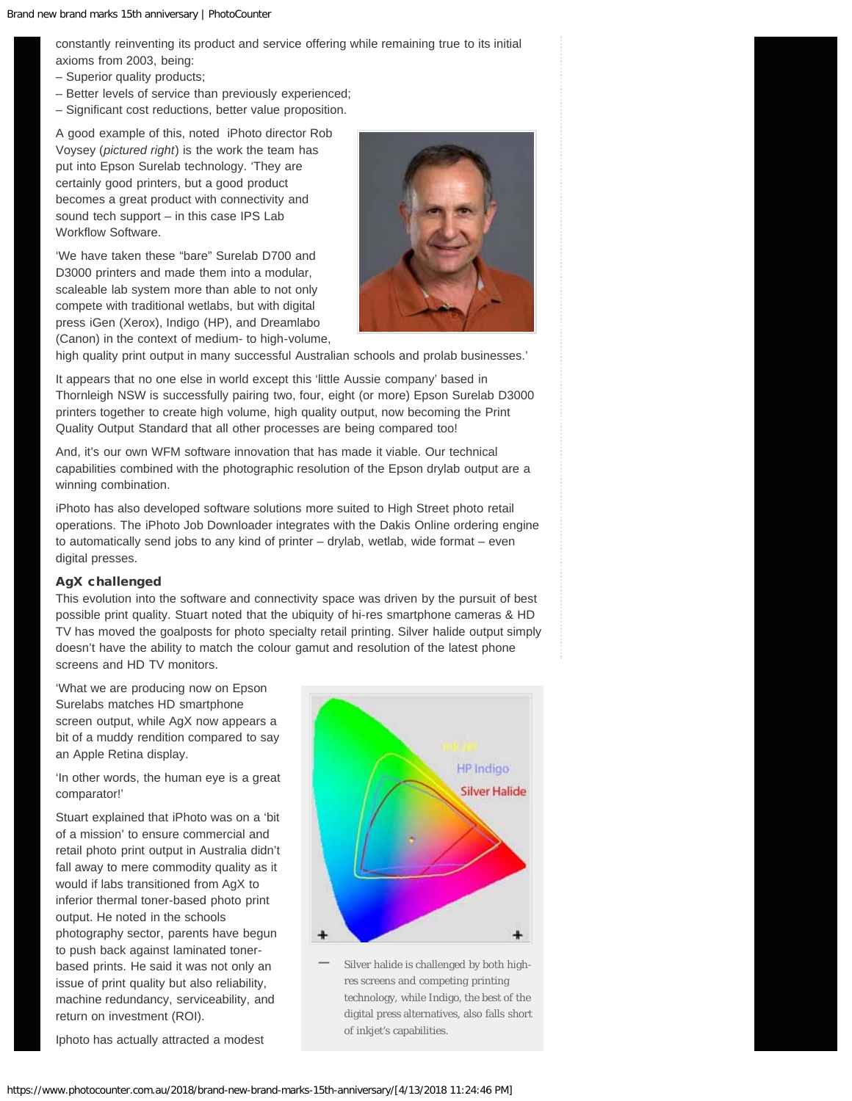constantly reinventing its product and service offering while remaining true to its initial axioms from 2003, being:

- Superior quality products;
- Better levels of service than previously experienced;
- Significant cost reductions, better value proposition.

A good example of this, noted iPhoto director Rob Voysey (*pictured right*) is the work the team has put into Epson Surelab technology. 'They are certainly good printers, but a good product becomes a great product with connectivity and sound tech support – in this case IPS Lab Workflow Software.

'We have taken these "bare" Surelab D700 and D3000 printers and made them into a modular, scaleable lab system more than able to not only compete with traditional wetlabs, but with digital press iGen (Xerox), Indigo (HP), and Dreamlabo (Canon) in the context of medium- to high-volume,



high quality print output in many successful Australian schools and prolab businesses.'

It appears that no one else in world except this 'little Aussie company' based in Thornleigh NSW is successfully pairing two, four, eight (or more) Epson Surelab D3000 printers together to create high volume, high quality output, now becoming the Print Quality Output Standard that all other processes are being compared too!

And, it's our own WFM software innovation that has made it viable. Our technical capabilities combined with the photographic resolution of the Epson drylab output are a winning combination.

iPhoto has also developed software solutions more suited to High Street photo retail operations. The iPhoto Job Downloader integrates with the Dakis Online ordering engine to automatically send jobs to any kind of printer – drylab, wetlab, wide format – even digital presses.

## AgX challenged

This evolution into the software and connectivity space was driven by the pursuit of best possible print quality. Stuart noted that the ubiquity of hi-res smartphone cameras & HD TV has moved the goalposts for photo specialty retail printing. Silver halide output simply doesn't have the ability to match the colour gamut and resolution of the latest phone screens and HD TV monitors.

'What we are producing now on Epson Surelabs matches HD smartphone screen output, while AgX now appears a bit of a muddy rendition compared to say an Apple Retina display.

'In other words, the human eye is a great comparator!'

Stuart explained that iPhoto was on a 'bit of a mission' to ensure commercial and retail photo print output in Australia didn't fall away to mere commodity quality as it would if labs transitioned from AgX to inferior thermal toner-based photo print output. He noted in the schools photography sector, parents have begun to push back against laminated tonerbased prints. He said it was not only an issue of print quality but also reliability, machine redundancy, serviceability, and return on investment (ROI).





Silver halide is challenged by both highres screens and competing printing technology, while Indigo, the best of the digital press alternatives, also falls short of inkjet's capabilities. **—**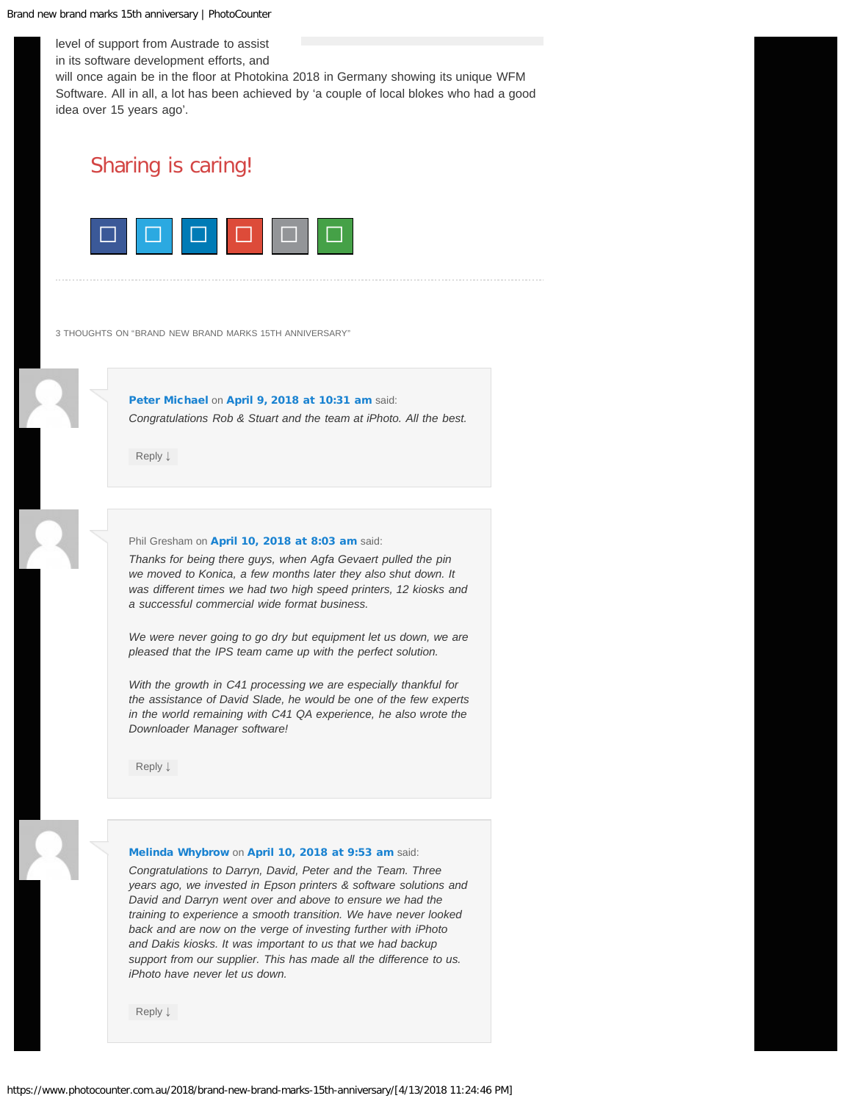level of support from Austrade to assist in its software development efforts, and

will once again be in the floor at Photokina 2018 in Germany showing its unique WFM Software. All in all, a lot has been achieved by 'a couple of local blokes who had a good idea over 15 years ago'.

# Sharing is caring!



<span id="page-2-0"></span>3 THOUGHTS ON "BRAND NEW BRAND MARKS 15TH ANNIVERSARY"

[Peter Michael](http://www.michaels.com.au/) on [April 9, 2018 at 10:31 am](#page-2-0) said: *Congratulations Rob & Stuart and the team at iPhoto. All the best.*

[Reply](https://www.photocounter.com.au/2018/brand-new-brand-marks-15th-anniversary/?replytocom=609255#respond) [↓](https://www.photocounter.com.au/2018/brand-new-brand-marks-15th-anniversary/?replytocom=609255#respond)

#### <span id="page-2-1"></span>Phil Gresham on [April 10, 2018 at 8:03 am](#page-2-1) said:

*Thanks for being there guys, when Agfa Gevaert pulled the pin we moved to Konica, a few months later they also shut down. It was different times we had two high speed printers, 12 kiosks and a successful commercial wide format business.*

*We were never going to go dry but equipment let us down, we are pleased that the IPS team came up with the perfect solution.*

*With the growth in C41 processing we are especially thankful for the assistance of David Slade, he would be one of the few experts in the world remaining with C41 QA experience, he also wrote the Downloader Manager software!*

[Reply](https://www.photocounter.com.au/2018/brand-new-brand-marks-15th-anniversary/?replytocom=609260#respond) [↓](https://www.photocounter.com.au/2018/brand-new-brand-marks-15th-anniversary/?replytocom=609260#respond)

#### <span id="page-2-2"></span>[Melinda Whybrow](http://picturesplustas.com.au/) on [April 10, 2018 at 9:53 am](#page-2-2) said:

*Congratulations to Darryn, David, Peter and the Team. Three years ago, we invested in Epson printers & software solutions and David and Darryn went over and above to ensure we had the training to experience a smooth transition. We have never looked back and are now on the verge of investing further with iPhoto and Dakis kiosks. It was important to us that we had backup support from our supplier. This has made all the difference to us. iPhoto have never let us down.*

[Reply](https://www.photocounter.com.au/2018/brand-new-brand-marks-15th-anniversary/?replytocom=609262#respond) [↓](https://www.photocounter.com.au/2018/brand-new-brand-marks-15th-anniversary/?replytocom=609262#respond)